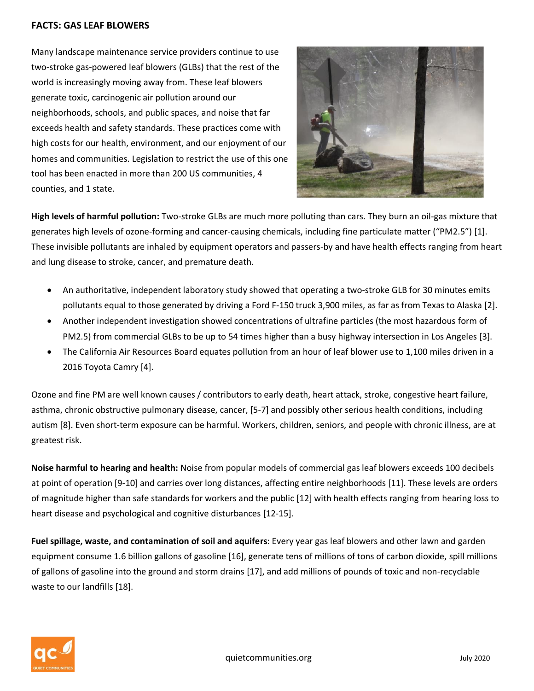## **FACTS: GAS LEAF BLOWERS**

Many landscape maintenance service providers continue to use two-stroke gas-powered leaf blowers (GLBs) that the rest of the world is increasingly moving away from. These leaf blowers generate toxic, carcinogenic air pollution around our neighborhoods, schools, and public spaces, and noise that far exceeds health and safety standards. These practices come with high costs for our health, environment, and our enjoyment of our homes and communities. Legislation to restrict the use of this one tool has been enacted in more than 200 US communities, 4 counties, and 1 state.



**High levels of harmful pollution:** Two-stroke GLBs are much more polluting than cars. They burn an oil-gas mixture that generates high levels of ozone-forming and cancer-causing chemicals, including fine particulate matter ("PM2.5") [1]. These invisible pollutants are inhaled by equipment operators and passers-by and have health effects ranging from heart and lung disease to stroke, cancer, and premature death.

- An authoritative, independent laboratory study showed that operating a two-stroke GLB for 30 minutes emits pollutants equal to those generated by driving a Ford F-150 truck 3,900 miles, as far as from Texas to Alaska [2].
- Another independent investigation showed concentrations of ultrafine particles (the most hazardous form of PM2.5) from commercial GLBs to be up to 54 times higher than a busy highway intersection in Los Angeles [3].
- The California Air Resources Board equates pollution from an hour of leaf blower use to 1,100 miles driven in a 2016 Toyota Camry [4].

Ozone and fine PM are well known causes / contributors to early death, heart attack, stroke, congestive heart failure, asthma, chronic obstructive pulmonary disease, cancer, [5-7] and possibly other serious health conditions, including autism [8]. Even short-term exposure can be harmful. Workers, children, seniors, and people with chronic illness, are at greatest risk.

**Noise harmful to hearing and health:** Noise from popular models of commercial gas leaf blowers exceeds 100 decibels at point of operation [9-10] and carries over long distances, affecting entire neighborhoods [11]. These levels are orders of magnitude higher than safe standards for workers and the public [12] with health effects ranging from hearing loss to heart disease and psychological and cognitive disturbances [12-15].

**Fuel spillage, waste, and contamination of soil and aquifers**: Every year gas leaf blowers and other lawn and garden equipment consume 1.6 billion gallons of gasoline [16], generate tens of millions of tons of carbon dioxide, spill millions of gallons of gasoline into the ground and storm drains [17], and add millions of pounds of toxic and non-recyclable waste to our landfills [18].